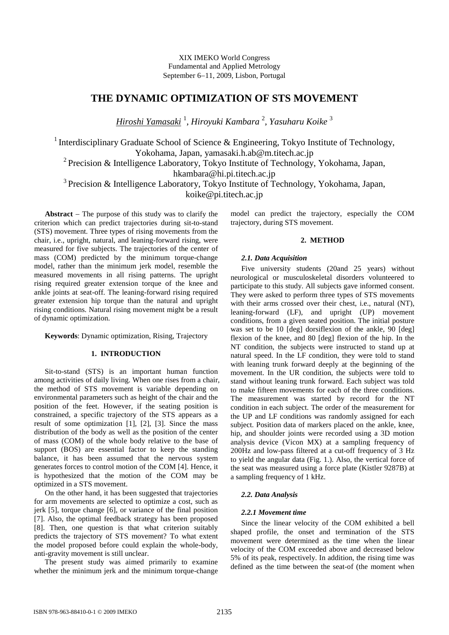XIX IMEKO World Congress Fundamental and Applied Metrology September 6−11, 2009, Lisbon, Portugal

# **THE DYNAMIC OPTIMIZATION OF STS MOVEMENT**

*Hiroshi Yamasaki* <sup>1</sup> , *Hiroyuki Kambara* <sup>2</sup> , *Yasuharu Koike* <sup>3</sup>

<sup>1</sup> Interdisciplinary Graduate School of Science & Engineering, Tokyo Institute of Technology, Yokohama, Japan, yamasaki.h.ab@m.titech.ac.jp

<sup>2</sup> Precision & Intelligence Laboratory, Tokyo Institute of Technology, Yokohama, Japan, hkambara@hi.pi.titech.ac.jp

<sup>3</sup> Precision & Intelligence Laboratory, Tokyo Institute of Technology, Yokohama, Japan,

koike@pi.titech.ac.jp

**Abstract** − The purpose of this study was to clarify the criterion which can predict trajectories during sit-to-stand (STS) movement. Three types of rising movements from the chair, i.e., upright, natural, and leaning-forward rising, were measured for five subjects. The trajectories of the center of mass (COM) predicted by the minimum torque-change model, rather than the minimum jerk model, resemble the measured movements in all rising patterns. The upright rising required greater extension torque of the knee and ankle joints at seat-off. The leaning-forward rising required greater extension hip torque than the natural and upright rising conditions. Natural rising movement might be a result of dynamic optimization.

**Keywords**: Dynamic optimization, Rising, Trajectory

## **1. INTRODUCTION**

Sit-to-stand (STS) is an important human function among activities of daily living. When one rises from a chair, the method of STS movement is variable depending on environmental parameters such as height of the chair and the position of the feet. However, if the seating position is constrained, a specific trajectory of the STS appears as a result of some optimization [1], [2], [3]. Since the mass distribution of the body as well as the position of the center of mass (COM) of the whole body relative to the base of support (BOS) are essential factor to keep the standing balance, it has been assumed that the nervous system generates forces to control motion of the COM [4]. Hence, it is hypothesized that the motion of the COM may be optimized in a STS movement.

On the other hand, it has been suggested that trajectories for arm movements are selected to optimize a cost, such as jerk [5], torque change [6], or variance of the final position [7]. Also, the optimal feedback strategy has been proposed [8]. Then, one question is that what criterion suitably predicts the trajectory of STS movement? To what extent the model proposed before could explain the whole-body, anti-gravity movement is still unclear.

The present study was aimed primarily to examine whether the minimum jerk and the minimum torque-change model can predict the trajectory, especially the COM trajectory, during STS movement.

## **2. METHOD**

#### *2.1. Data Acquisition*

Five university students (20and 25 years) without neurological or musculoskeletal disorders volunteered to participate to this study. All subjects gave informed consent. They were asked to perform three types of STS movements with their arms crossed over their chest, i.e., natural (NT), leaning-forward (LF), and upright (UP) movement conditions, from a given seated position. The initial posture was set to be 10 [deg] dorsiflexion of the ankle, 90 [deg] flexion of the knee, and 80 [deg] flexion of the hip. In the NT condition, the subjects were instructed to stand up at natural speed. In the LF condition, they were told to stand with leaning trunk forward deeply at the beginning of the movement. In the UR condition, the subjects were told to stand without leaning trunk forward. Each subject was told to make fifteen movements for each of the three conditions. The measurement was started by record for the NT condition in each subject. The order of the measurement for the UP and LF conditions was randomly assigned for each subject. Position data of markers placed on the ankle, knee, hip, and shoulder joints were recorded using a 3D motion analysis device (Vicon MX) at a sampling frequency of 200Hz and low-pass filtered at a cut-off frequency of 3 Hz to yield the angular data (Fig. 1.). Also, the vertical force of the seat was measured using a force plate (Kistler 9287B) at a sampling frequency of 1 kHz.

### *2.2. Data Analysis*

#### *2.2.1 Movement time*

Since the linear velocity of the COM exhibited a bell shaped profile, the onset and termination of the STS movement were determined as the time when the linear velocity of the COM exceeded above and decreased below 5% of its peak, respectively. In addition, the rising time was defined as the time between the seat-of (the moment when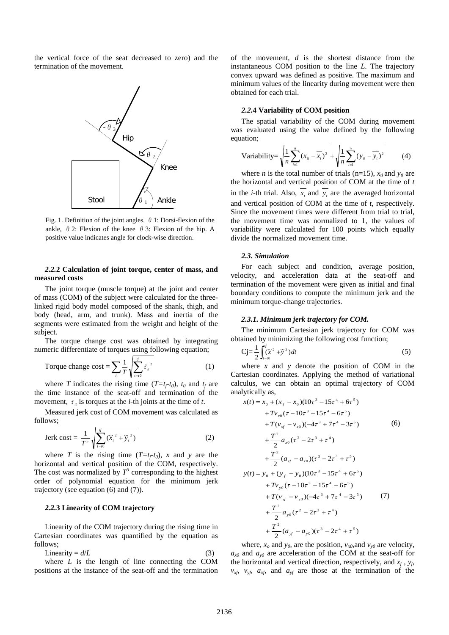the vertical force of the seat decreased to zero) and the termination of the movement.

 $\theta$  <sub>3</sub>

Fig. 1. Definition of the joint angles.  $\theta$  1: Dorsi-flexion of the  $\theta_1$ Ankle Knee Stool

Hip

 $\theta_2$ 

ankle,  $\theta$  2: Flexion of the knee  $\theta$  3: Flexion of the hip. A positive value indicates angle for clock-wise direction.

## *2.2.***2 Calculation of joint torque, center of mass, and measured costs**

The joint torque (muscle torque) at the joint and center of mass (COM) of the subject were calculated for the threelinked rigid body model composed of the shank, thigh, and body (head, arm, and trunk). Mass and inertia of the segments were estimated from the weight and height of the subject.

The torque change cost was obtained by integrating numeric differentiate of torques using following equation;

Torque change cost = 
$$
\sum_{i} \frac{1}{T} \sqrt{\sum_{i=0}^{f} \dot{\tau}_{ii}^{2}}
$$
 (1)

where *T* indicates the rising time  $(T=t_f-t_0)$ ,  $t_0$  and  $t_f$  are the time instance of the seat-off and termination of the movement,  $\tau_{i}$  is torques at the *i*-th joints at the time of *t*.

Measured jerk cost of COM movement was calculated as follows;

$$
\text{Jerk cost} = \frac{1}{T^5} \sqrt{\sum_{t=0}^{f} (\ddot{x}_t^2 + \dddot{y}_t^2)} \tag{2}
$$

where *T* is the rising time  $(T=t_f-t_0)$ , *x* and *y* are the horizontal and vertical position of the COM, respectively. The cost was normalized by  $T^5$  corresponding to the highest order of polynomial equation for the minimum jerk trajectory (see equation (6) and (7)).

## *2.2.***3 Linearity of COM trajectory**

Linearity of the COM trajectory during the rising time in Cartesian coordinates was quantified by the equation as follows;

$$
Linearity = d/L
$$
 (3)

where *L* is the length of line connecting the COM positions at the instance of the seat-off and the termination of the movement, *d* is the shortest distance from the instantaneous COM position to the line *L*. The trajectory convex upward was defined as positive. The maximum and minimum values of the linearity during movement were then obtained for each trial.

## *2.2.***4 Variability of COM position**

The spatial variability of the COM during movement was evaluated using the value defined by the following equation;

$$
\text{Variableity} = \sqrt{\frac{1}{n} \sum_{i=1}^{n} (x_{ii} - \overline{x}_i)^2 + \sqrt{\frac{1}{n} \sum_{i=1}^{n} (y_{ii} - \overline{y}_i)^2} \tag{4}
$$

where *n* is the total number of trials (n=15),  $x_{ti}$  and  $y_{ti}$  are the horizontal and vertical position of COM at the time of *t* in the *i*-th trial. Also,  $\overline{x_i}$  and  $\overline{y_i}$  are the averaged horizontal and vertical position of COM at the time of *t*, respectively. Since the movement times were different from trial to trial, the movement time was normalized to 1, the values of variability were calculated for 100 points which equally divide the normalized movement time.

## *2.3. Simulation*

For each subject and condition, average position, velocity, and acceleration data at the seat-off and termination of the movement were given as initial and final boundary conditions to compute the minimum jerk and the minimum torque-change trajectories.

#### *2.3.1. Minimum jerk trajectory for COM.*

The minimum Cartesian jerk trajectory for COM was obtained by minimizing the following cost function;

$$
Cj = \frac{1}{2} \int_{t=t_0}^{t'} (\ddot{x}^2 + \dddot{y}^2) dt
$$
 (5)

where *x* and *y* denote the position of COM in the Cartesian coordinates. Applying the method of variational calculus, we can obtain an optimal trajectory of COM analytically as,

$$
x(t) = x_0 + (x_f - x_0)(10\tau^3 - 15\tau^4 + 6\tau^5)
$$
  
+  $Tv_{x0}(\tau - 10\tau^3 + 15\tau^4 - 6\tau^5)$   
+  $T(v_{xf} - v_{x0})(-4\tau^3 + 7\tau^4 - 3\tau^5)$  (6)  
+  $\frac{T^2}{2}a_{x0}(\tau^2 - 2\tau^3 + \tau^4)$   
+  $\frac{T^2}{2}(a_{xf} - a_{x0})(\tau^3 - 2\tau^4 + \tau^5)$   

$$
y(t) = y_0 + (y_f - y_0)(10\tau^3 - 15\tau^4 + 6\tau^5)
$$
  
+  $Tv_{y0}(\tau - 10\tau^3 + 15\tau^4 - 6\tau^5)$   
+  $T(v_{xf} - v_{y0})(-4\tau^3 + 7\tau^4 - 3\tau^5)$  (7)  
+  $\frac{T^2}{2}a_{y0}(\tau^2 - 2\tau^3 + \tau^4)$   
+  $\frac{T^2}{2}(a_{xf} - a_{y0})(\tau^3 - 2\tau^4 + \tau^5)$ 

where,  $x_o$  and  $y_o$ , are the position,  $v_{x0}$ , and  $v_{y0}$  are velocity,  $a_{x0}$  and  $a_{y0}$  are acceleration of the COM at the seat-off for the horizontal and vertical direction, respectively, and  $x_f$ ,  $y_f$ ,  $v_{xf}$ ,  $v_{yf}$ ,  $a_{xf}$  and  $a_{yf}$  are those at the termination of the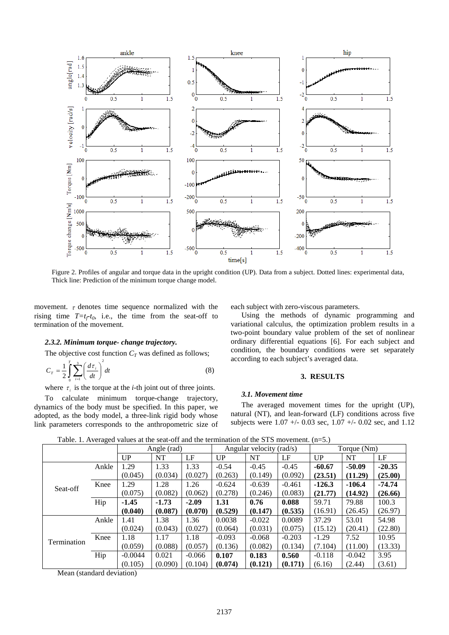

Figure 2. Profiles of angular and torque data in the upright condition (UP). Data from a subject. Dotted lines: experimental data, Thick line: Prediction of the minimum torque change model.

movement.  $\tau$  denotes time sequence normalized with the rising time  $T=t_f-t_0$ , i.e., the time from the seat-off to termination of the movement.

## *2.3.2. Minimum torque- change trajectory.*

The objective cost function  $C_T$  was defined as follows;

$$
C_T = \frac{1}{2} \int_0^T \sum_{i=1}^3 \left(\frac{d\tau_i}{dt}\right)^2 dt
$$
 (8)

where  $\tau_i$  is the torque at the *i*-th joint out of three joints.

To calculate minimum torque-change trajectory, dynamics of the body must be specified. In this paper, we adopted, as the body model, a three-link rigid body whose link parameters corresponds to the anthropometric size of each subject with zero-viscous parameters.

Using the methods of dynamic programming and variational calculus, the optimization problem results in a two-point boundary value problem of the set of nonlinear ordinary differential equations [6]. For each subject and condition, the boundary conditions were set separately according to each subject's averaged data.

## **3. RESULTS**

## *3.1. Movement time*

The averaged movement times for the upright (UP), natural (NT), and lean-forward (LF) conditions across five subjects were 1.07 +/- 0.03 sec, 1.07 +/- 0.02 sec, and 1.12

Table. 1. Averaged values at the seat-off and the termination of the STS movement. (n=5.)

| -- 0        |       | Angle (rad) |         | Angular velocity (rad/s) |          |          | Torque (Nm) |          |          |          |
|-------------|-------|-------------|---------|--------------------------|----------|----------|-------------|----------|----------|----------|
|             |       | UP          | NT      | LF                       | UP       | NT       | LF          | UP       | NT       | LF       |
| Seat-off    | Ankle | 1.29        | 1.33    | 1.33                     | $-0.54$  | $-0.45$  | $-0.45$     | $-60.67$ | $-50.09$ | $-20.35$ |
|             |       | (0.045)     | (0.034) | (0.027)                  | (0.263)  | (0.149)  | (0.092)     | (23.51)  | (11.29)  | (25.00)  |
|             | Knee  | l.29        | 1.28    | 1.26                     | $-0.624$ | $-0.639$ | $-0.461$    | $-126.3$ | $-106.4$ | $-74.74$ |
|             |       | (0.075)     | (0.082) | (0.062)                  | (0.278)  | (0.246)  | (0.083)     | (21.77)  | (14.92)  | (26.66)  |
|             | Hip   | $-1.45$     | $-1.73$ | $-2.09$                  | 1.31     | 0.76     | 0.088       | 59.71    | 79.88    | 100.3    |
|             |       | (0.040)     | (0.087) | (0.070)                  | (0.529)  | (0.147)  | (0.535)     | (16.91)  | (26.45)  | (26.97)  |
| Termination | Ankle | 1.41        | 1.38    | 1.36                     | 0.0038   | $-0.022$ | 0.0089      | 37.29    | 53.01    | 54.98    |
|             |       | (0.024)     | (0.043) | (0.027)                  | (0.064)  | (0.031)  | (0.075)     | (15.12)  | (20.41)  | (22.80)  |
|             | Knee  | 1.18        | 1.17    | 1.18                     | $-0.093$ | $-0.068$ | $-0.203$    | $-1.29$  | 7.52     | 10.95    |
|             |       | (0.059)     | (0.088) | (0.057)                  | (0.136)  | (0.082)  | (0.134)     | (7.104)  | (11.00)  | (13.33)  |
|             | Hip   | $-0.0044$   | 0.021   | $-0.066$                 | 0.107    | 0.183    | 0.560       | $-0.118$ | $-0.042$ | 3.95     |
|             |       | (0.105)     | (0.090) | (0.104)                  | (0.074)  | (0.121)  | (0.171)     | (6.16)   | (2.44)   | (3.61)   |

Mean (standard deviation)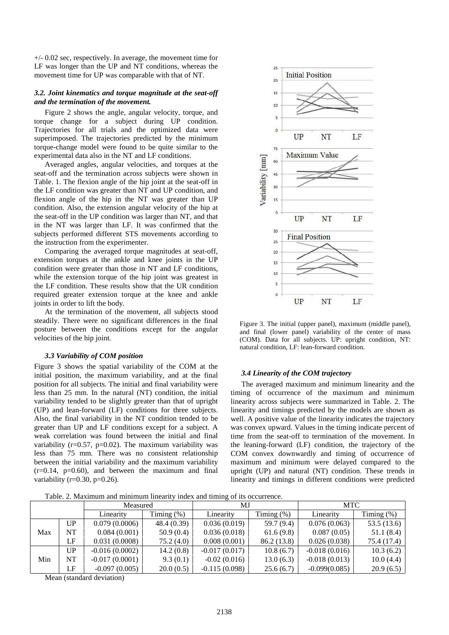+/- 0.02 sec, respectively. In average, the movement time for LF was longer than the UP and NT conditions, whereas the movement time for UP was comparable with that of NT.

## *3.2. Joint kinematics and torque magnitude at the seat-off and the termination of the movement.*

Figure 2 shows the angle, angular velocity, torque, and torque change for a subject during UP condition. Trajectories for all trials and the optimized data were superimposed. The trajectories predicted by the minimum torque-change model were found to be quite similar to the experimental data also in the NT and LF conditions.

Averaged angles, angular velocities, and torques at the seat-off and the termination across subjects were shown in Table. 1. The flexion angle of the hip joint at the seat-off in the LF condition was greater than NT and UP condition, and flexion angle of the hip in the NT was greater than UP condition. Also, the extension angular velocity of the hip at the seat-off in the UP condition was larger than NT, and that in the NT was larger than LF. It was confirmed that the subjects performed different STS movements according to the instruction from the experimenter.

Comparing the averaged torque magnitudes at seat-off, extension torques at the ankle and knee joints in the UP condition were greater than those in NT and LF conditions, while the extension torque of the hip joint was greatest in the LF condition. These results show that the UR condition required greater extension torque at the knee and ankle joints in order to lift the body.

At the termination of the movement, all subjects stood steadily. There were no significant differences in the final posture between the conditions except for the angular velocities of the hip joint.

### *3.3 Variability of COM position*

Figure 3 shows the spatial variability of the COM at the initial position, the maximum variability, and at the final position for all subjects. The initial and final variability were less than 25 mm. In the natural (NT) condition, the initial variability tended to be slightly greater than that of upright (UP) and lean-forward (LF) conditions for three subjects. Also, the final variability in the NT condition tended to be greater than UP and LF conditions except for a subject. A weak correlation was found between the initial and final variability ( $r=0.57$ ,  $p=0.02$ ). The maximum variability was less than 75 mm. There was no consistent relationship between the initial variability and the maximum variability  $(r=0.14, p=0.60)$ , and between the maximum and final variability ( $r=0.30$ ,  $p=0.26$ ).



Figure 3. The initial (upper panel), maximum (middle panel), and final (lower panel) variability of the center of mass (COM). Data for all subjects. UP: upright condition, NT: natural condition, LF: lean-forward condition.

#### *3.4 Linearity of the COM trajectory*

The averaged maximum and minimum linearity and the timing of occurrence of the maximum and minimum linearity across subjects were summarized in Table. 2. The linearity and timings predicted by the models are shown as well. A positive value of the linearity indicates the trajectory was convex upward. Values in the timing indicate percent of time from the seat-off to termination of the movement. In the leaning-forward (LF) condition, the trajectory of the COM convex downwardly and timing of occurrence of maximum and minimum were delayed compared to the upright (UP) and natural (NT) condition. These trends in linearity and timings in different conditions were predicted

Table. 2. Maximum and minimum linearity index and timing of its occurrence.

|     |     | Measured         |               | MJ              |               | MTC             |               |  |
|-----|-----|------------------|---------------|-----------------|---------------|-----------------|---------------|--|
|     |     | Linearity        | Timing $(\%)$ | Linearity       | Timing $(\%)$ | Linearity       | Timing $(\%)$ |  |
|     | UP  | 0.079(0.0006)    | 48.4 (0.39)   | 0.036(0.019)    | 59.7 (9.4)    | 0.076(0.063)    | 53.5(13.6)    |  |
| Max | NT. | 0.084(0.001)     | 50.9(0.4)     | 0.036(0.018)    | 61.6(9.8)     | 0.087(0.05)     | 51.1(8.4)     |  |
|     | LF  | 0.031(0.0008)    | 75.2(4.0)     | 0.008(0.001)    | 86.2 (13.8)   | 0.026(0.038)    | 75.4 (17.4)   |  |
|     | UP  | $-0.016(0.0002)$ | 14.2(0.8)     | $-0.017(0.017)$ | 10.8(6.7)     | $-0.018(0.016)$ | 10.3(6.2)     |  |
| Min | NT  | $-0.017(0.0001)$ | 9.3(0.1)      | $-0.02(0.016)$  | 13.0(6.3)     | $-0.018(0.013)$ | 10.0(4.4)     |  |
|     | ĹF  | $-0.097(0.005)$  | 20.0(0.5)     | $-0.115(0.098)$ | 25.6(6.7)     | $-0.099(0.085)$ | 20.9(6.5)     |  |

Mean (standard deviation)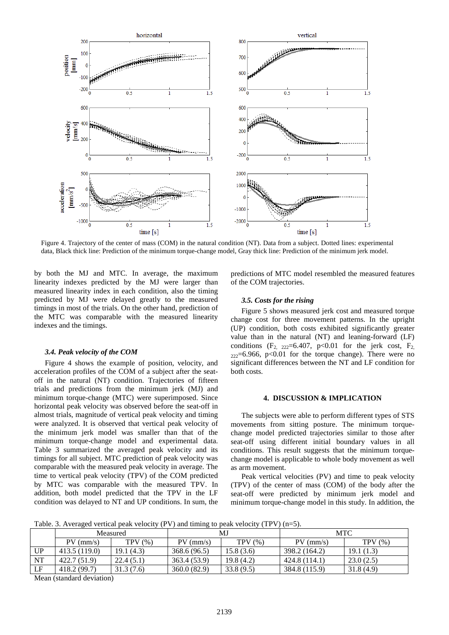

Figure 4. Trajectory of the center of mass (COM) in the natural condition (NT). Data from a subject. Dotted lines: experimental data, Black thick line: Prediction of the minimum torque-change model, Gray thick line: Prediction of the minimum jerk model.

by both the MJ and MTC. In average, the maximum linearity indexes predicted by the MJ were larger than measured linearity index in each condition, also the timing predicted by MJ were delayed greatly to the measured timings in most of the trials. On the other hand, prediction of the MTC was comparable with the measured linearity indexes and the timings.

## *3.4. Peak velocity of the COM*

Figure 4 shows the example of position, velocity, and acceleration profiles of the COM of a subject after the seatoff in the natural (NT) condition. Trajectories of fifteen trials and predictions from the minimum jerk (MJ) and minimum torque-change (MTC) were superimposed. Since horizontal peak velocity was observed before the seat-off in almost trials, magnitude of vertical peak velocity and timing were analyzed. It is observed that vertical peak velocity of the minimum jerk model was smaller than that of the minimum torque-change model and experimental data. Table 3 summarized the averaged peak velocity and its timings for all subject. MTC prediction of peak velocity was comparable with the measured peak velocity in average. The time to vertical peak velocity (TPV) of the COM predicted by MTC was comparable with the measured TPV. In addition, both model predicted that the TPV in the LF condition was delayed to NT and UP conditions. In sum, the predictions of MTC model resembled the measured features of the COM trajectories.

## *3.5. Costs for the rising*

Figure 5 shows measured jerk cost and measured torque change cost for three movement patterns. In the upright (UP) condition, both costs exhibited significantly greater value than in the natural (NT) and leaning-forward (LF) conditions  $(F_2, 222=6.407, p<0.01$  for the jerk cost,  $F_2$ ,  $222=6.966$ , p<0.01 for the torque change). There were no significant differences between the NT and LF condition for both costs.

### **4. DISCUSSION & IMPLICATION**

The subjects were able to perform different types of STS movements from sitting posture. The minimum torquechange model predicted trajectories similar to those after seat-off using different initial boundary values in all conditions. This result suggests that the minimum torquechange model is applicable to whole body movement as well as arm movement.

Peak vertical velocities (PV) and time to peak velocity (TPV) of the center of mass (COM) of the body after the seat-off were predicted by minimum jerk model and minimum torque-change model in this study. In addition, the

Table. 3. Averaged vertical peak velocity (PV) and timing to peak velocity (TPV) (n=5).

| 1.001<br>which channing to produce $\mathbf{r} \cdot \mathbf{r}$ |              |           |              |           |               |           |  |  |
|------------------------------------------------------------------|--------------|-----------|--------------|-----------|---------------|-----------|--|--|
|                                                                  | Measured     |           |              | MJ        | MTC           |           |  |  |
|                                                                  | $PV$ (mm/s)  | TPV(%)    | $PV$ (mm/s)  | TPV(%)    | $PV$ (mm/s)   | TPV(%)    |  |  |
| <b>UP</b>                                                        | 413.5(119.0) | 19.1(4.3) | 368.6 (96.5) | 15.8(3.6) | 398.2 (164.2) | 19.1(1.3) |  |  |
| NT                                                               | 422.7 (51.9) | 22.4(5.1) | 363.4 (53.9) | 19.8(4.2) | 424.8 (114.1) | 23.0(2.5) |  |  |
| LF                                                               | 418.2(99.7)  | 31.3(7.6) | 360.0(82.9)  | 33.8(9.5) | 384.8 (115.9) | 31.8(4.9) |  |  |

Mean (standard deviation)